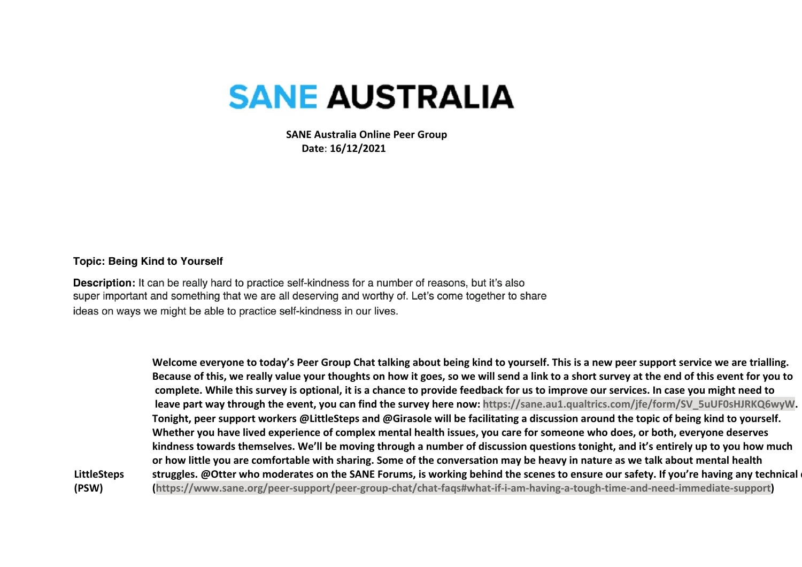## **SANE AUSTRALIA**

 **SANE Australia Online Peer Group Date**: **16/12/2021**

## **Topic: Being Kind to Yourself**

**Description:** It can be really hard to practice self-kindness for a number of reasons, but it's also super important and something that we are all deserving and worthy of. Let's come together to share ideas on ways we might be able to practice self-kindness in our lives.

**LittleSteps (PSW) Welcome everyone to today's Peer Group Chat talking about being kind to yourself. This is a new peer support service we are trialling. Because of this, we really value your thoughts on how it goes, so we will send a link to a short survey at the end of this event for you to complete. While this survey is optional, it is a chance to provide feedback for us to improve our services. In case you might need to leave part way through the event, you can find the survey here now: https://sane.au1.qualtrics.com/jfe/form/SV\_5uUF0sHJRKQ6wyW. Tonight, peer support workers @LittleSteps and @Girasole will be facilitating a discussion around the topic of being kind to yourself. Whether you have lived experience of complex mental health issues, you care for someone who does, or both, everyone deserves kindness towards themselves. We'll be moving through a number of discussion questions tonight, and it's entirely up to you how much or how little you are comfortable with sharing. Some of the conversation may be heavy in nature as we talk about mental health**  struggles. @Otter who moderates on the SANE Forums, is working behind the scenes to ensure our safety. If you're having any technical **(https://www.sane.org/peer-support/peer-group-chat/chat-faqs#what-if-i-am-having-a-tough-time-and-need-immediate-support)**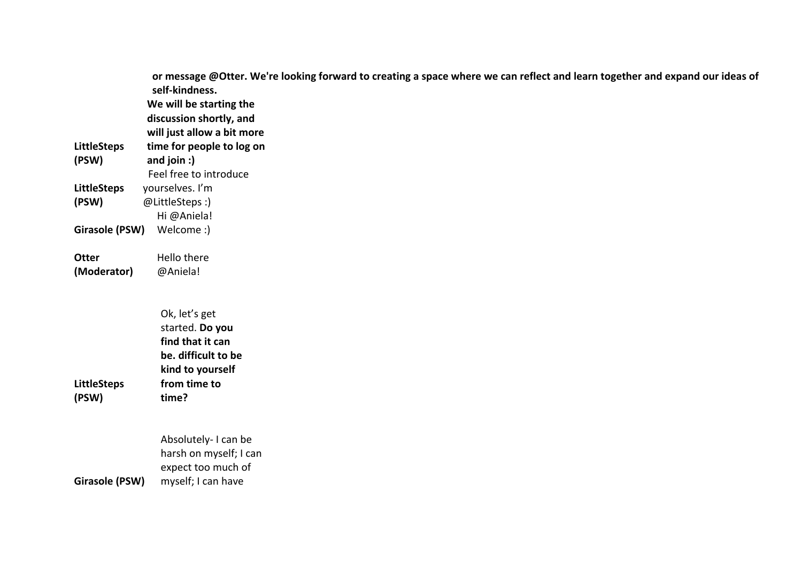|                             | or message @Otter. We're looking forward to creating a space where we can reflect and learn together and expand our ideas of<br>self-kindness.<br>We will be starting the<br>discussion shortly, and<br>will just allow a bit more |
|-----------------------------|------------------------------------------------------------------------------------------------------------------------------------------------------------------------------------------------------------------------------------|
| <b>LittleSteps</b>          | time for people to log on                                                                                                                                                                                                          |
| (PSW)                       | and join :)                                                                                                                                                                                                                        |
|                             | Feel free to introduce                                                                                                                                                                                                             |
| <b>LittleSteps</b>          | yourselves. I'm                                                                                                                                                                                                                    |
| (PSW)                       | @LittleSteps:)                                                                                                                                                                                                                     |
|                             | Hi @Aniela!                                                                                                                                                                                                                        |
| <b>Girasole (PSW)</b>       | Welcome:)                                                                                                                                                                                                                          |
|                             |                                                                                                                                                                                                                                    |
| <b>Otter</b>                | Hello there                                                                                                                                                                                                                        |
| (Moderator)                 | @Aniela!                                                                                                                                                                                                                           |
| <b>LittleSteps</b><br>(PSW) | Ok, let's get<br>started. Do you<br>find that it can<br>be. difficult to be<br>kind to yourself<br>from time to<br>time?                                                                                                           |
| Girasole (PSW)              | Absolutely-I can be<br>harsh on myself; I can<br>expect too much of<br>myself; I can have                                                                                                                                          |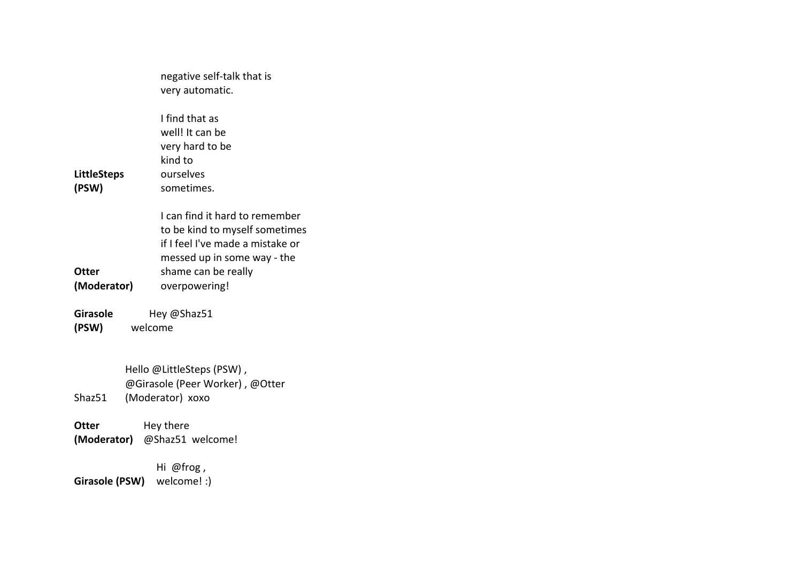|                             | negative self-talk that is                                                                                                                                                  |
|-----------------------------|-----------------------------------------------------------------------------------------------------------------------------------------------------------------------------|
|                             | very automatic.                                                                                                                                                             |
| <b>LittleSteps</b><br>(PSW) | I find that as<br>well! It can be<br>very hard to be<br>kind to<br>ourselves<br>sometimes.                                                                                  |
| Otter<br>(Moderator)        | I can find it hard to remember<br>to be kind to myself sometimes<br>if I feel I've made a mistake or<br>messed up in some way - the<br>shame can be really<br>overpowering! |
| Girasole                    | Hey @Shaz51                                                                                                                                                                 |
| (PSW)                       | welcome                                                                                                                                                                     |
| Shaz51                      | Hello @LittleSteps (PSW),<br>@Girasole (Peer Worker), @Otter<br>(Moderator) xoxo                                                                                            |
| Otter                       | Hey there<br>(Moderator) @Shaz51 welcome!                                                                                                                                   |

**Girasole (PSW)** Hi @frog , welcome! :)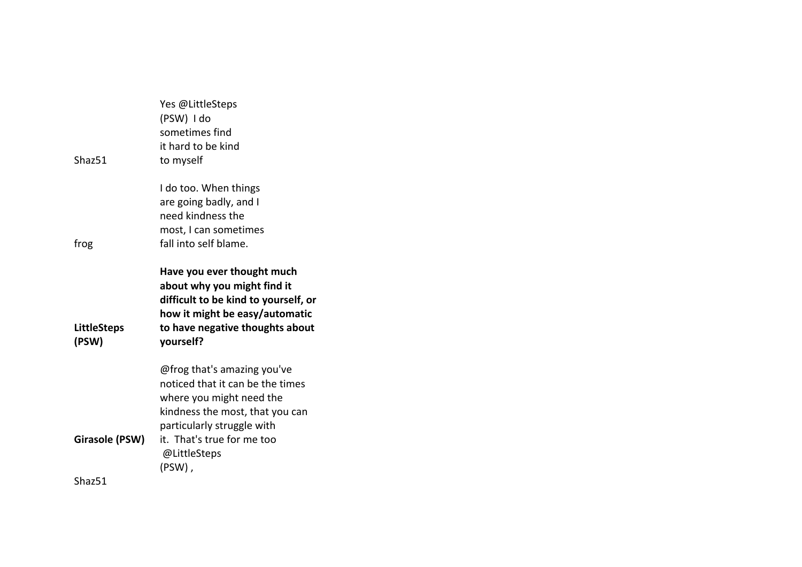|                             | Yes @LittleSteps<br>(PSW) I do<br>sometimes find<br>it hard to be kind                                                                                                              |
|-----------------------------|-------------------------------------------------------------------------------------------------------------------------------------------------------------------------------------|
| Shaz51                      | to myself                                                                                                                                                                           |
|                             | I do too. When things<br>are going badly, and I<br>need kindness the                                                                                                                |
|                             | most, I can sometimes                                                                                                                                                               |
| frog                        | fall into self blame.                                                                                                                                                               |
| <b>LittleSteps</b><br>(PSW) | Have you ever thought much<br>about why you might find it<br>difficult to be kind to yourself, or<br>how it might be easy/automatic<br>to have negative thoughts about<br>yourself? |
|                             | @frog that's amazing you've<br>noticed that it can be the times<br>where you might need the<br>kindness the most, that you can<br>particularly struggle with                        |
| Girasole (PSW)              | it. That's true for me too<br>@LittleSteps<br>(PSW),                                                                                                                                |
|                             |                                                                                                                                                                                     |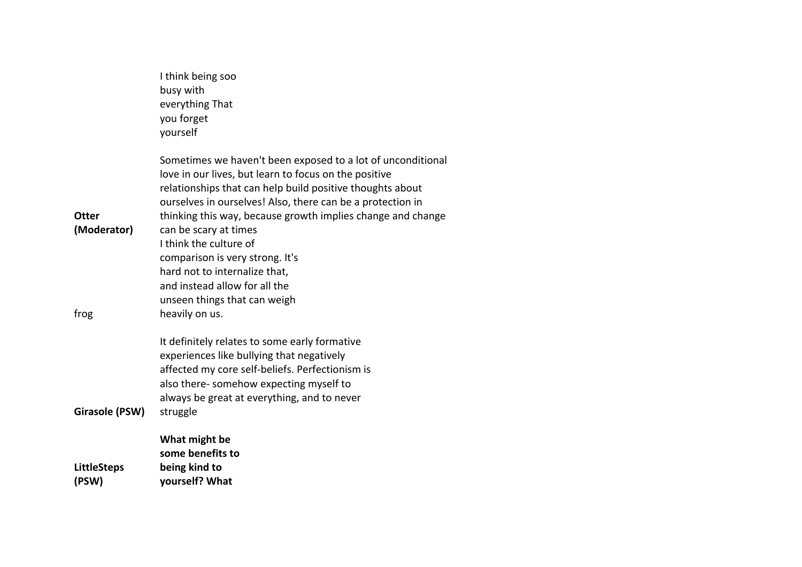|                                     | I think being soo<br>busy with<br>everything That<br>you forget<br>yourself                                                                                                                                                                                                                                                                                                                                                                                                                                              |
|-------------------------------------|--------------------------------------------------------------------------------------------------------------------------------------------------------------------------------------------------------------------------------------------------------------------------------------------------------------------------------------------------------------------------------------------------------------------------------------------------------------------------------------------------------------------------|
| <b>Otter</b><br>(Moderator)<br>frog | Sometimes we haven't been exposed to a lot of unconditional<br>love in our lives, but learn to focus on the positive<br>relationships that can help build positive thoughts about<br>ourselves in ourselves! Also, there can be a protection in<br>thinking this way, because growth implies change and change<br>can be scary at times<br>I think the culture of<br>comparison is very strong. It's<br>hard not to internalize that,<br>and instead allow for all the<br>unseen things that can weigh<br>heavily on us. |
| Girasole (PSW)                      | It definitely relates to some early formative<br>experiences like bullying that negatively<br>affected my core self-beliefs. Perfectionism is<br>also there- somehow expecting myself to<br>always be great at everything, and to never<br>struggle                                                                                                                                                                                                                                                                      |
| <b>LittleSteps</b><br>(PSW)         | What might be<br>some benefits to<br>being kind to<br>yourself? What                                                                                                                                                                                                                                                                                                                                                                                                                                                     |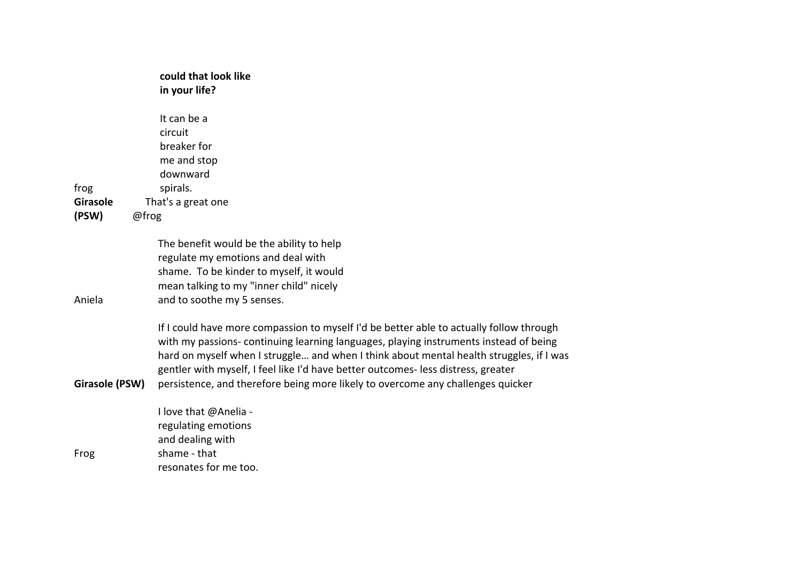|                          | could that look like<br>in your life?                                                                                                                                                                                                                                                                                                                                                                                                                                           |
|--------------------------|---------------------------------------------------------------------------------------------------------------------------------------------------------------------------------------------------------------------------------------------------------------------------------------------------------------------------------------------------------------------------------------------------------------------------------------------------------------------------------|
|                          | It can be a                                                                                                                                                                                                                                                                                                                                                                                                                                                                     |
|                          | circuit                                                                                                                                                                                                                                                                                                                                                                                                                                                                         |
|                          | breaker for                                                                                                                                                                                                                                                                                                                                                                                                                                                                     |
|                          | me and stop                                                                                                                                                                                                                                                                                                                                                                                                                                                                     |
|                          | downward                                                                                                                                                                                                                                                                                                                                                                                                                                                                        |
| frog                     | spirals.                                                                                                                                                                                                                                                                                                                                                                                                                                                                        |
| <b>Girasole</b>          | That's a great one                                                                                                                                                                                                                                                                                                                                                                                                                                                              |
| (PSW)                    | @frog                                                                                                                                                                                                                                                                                                                                                                                                                                                                           |
|                          | The benefit would be the ability to help<br>regulate my emotions and deal with<br>shame. To be kinder to myself, it would<br>mean talking to my "inner child" nicely                                                                                                                                                                                                                                                                                                            |
| Aniela<br>Girasole (PSW) | and to soothe my 5 senses.<br>If I could have more compassion to myself I'd be better able to actually follow through<br>with my passions-continuing learning languages, playing instruments instead of being<br>hard on myself when I struggle and when I think about mental health struggles, if I was<br>gentler with myself, I feel like I'd have better outcomes-less distress, greater<br>persistence, and therefore being more likely to overcome any challenges quicker |
|                          | I love that @Anelia -<br>regulating emotions<br>and dealing with                                                                                                                                                                                                                                                                                                                                                                                                                |
| Frog                     | shame - that<br>resonates for me too.                                                                                                                                                                                                                                                                                                                                                                                                                                           |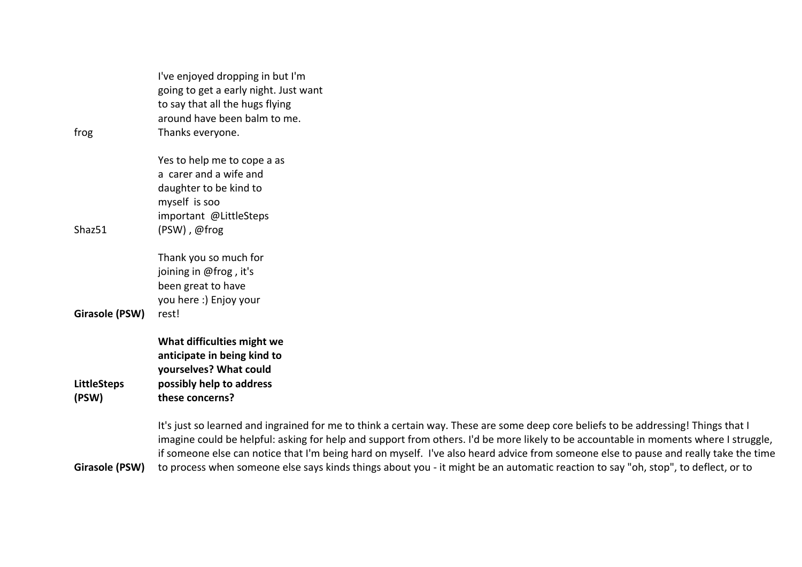|                    | I've enjoyed dropping in but I'm<br>going to get a early night. Just want                                                                                                                                                                                                  |
|--------------------|----------------------------------------------------------------------------------------------------------------------------------------------------------------------------------------------------------------------------------------------------------------------------|
|                    | to say that all the hugs flying                                                                                                                                                                                                                                            |
|                    | around have been balm to me.                                                                                                                                                                                                                                               |
| frog               | Thanks everyone.                                                                                                                                                                                                                                                           |
|                    | Yes to help me to cope a as                                                                                                                                                                                                                                                |
|                    | a carer and a wife and                                                                                                                                                                                                                                                     |
|                    | daughter to be kind to                                                                                                                                                                                                                                                     |
|                    | myself is soo                                                                                                                                                                                                                                                              |
|                    | important @LittleSteps                                                                                                                                                                                                                                                     |
| Shaz51             | (PSW), @frog                                                                                                                                                                                                                                                               |
|                    | Thank you so much for                                                                                                                                                                                                                                                      |
|                    | joining in @frog, it's                                                                                                                                                                                                                                                     |
|                    | been great to have                                                                                                                                                                                                                                                         |
|                    | you here :) Enjoy your                                                                                                                                                                                                                                                     |
| Girasole (PSW)     | rest!                                                                                                                                                                                                                                                                      |
|                    | What difficulties might we                                                                                                                                                                                                                                                 |
|                    | anticipate in being kind to                                                                                                                                                                                                                                                |
|                    | yourselves? What could                                                                                                                                                                                                                                                     |
| <b>LittleSteps</b> | possibly help to address                                                                                                                                                                                                                                                   |
| (PSW)              | these concerns?                                                                                                                                                                                                                                                            |
|                    | It's just so learned and ingrained for me to think a certain way. These are some deep core beliefs to be addressing! Things that I<br>imagine could be helpful: asking for help and support from others. I'd be more likely to be accountable in moments where I struggle, |

Girasole (PSW) to process when someone else says kinds things about you - it might be an automatic reaction to say "oh, stop", to deflect, or to

if someone else can notice that I'm being hard on myself. I've also heard advice from someone else to pause and really take the time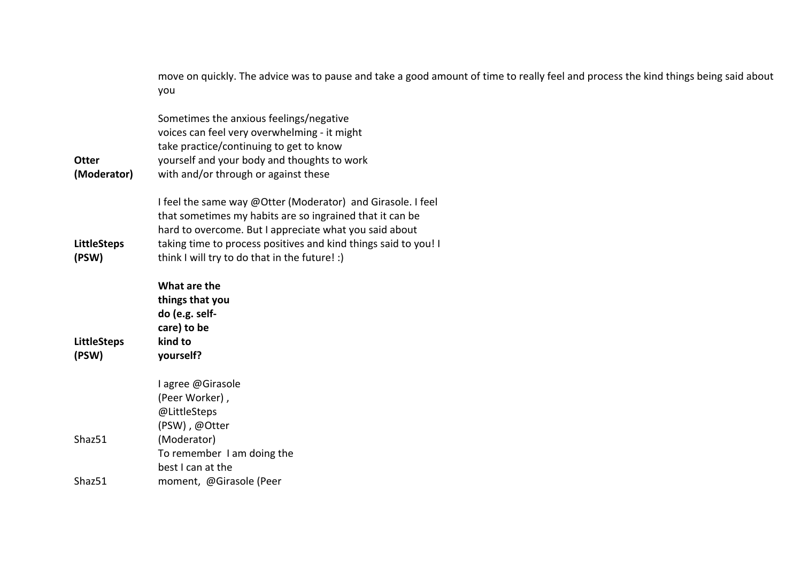|                             | move on quickly. The advice was to pause and take a good amount of time to really feel and process the kind things being said about<br>you |
|-----------------------------|--------------------------------------------------------------------------------------------------------------------------------------------|
|                             | Sometimes the anxious feelings/negative<br>voices can feel very overwhelming - it might                                                    |
|                             | take practice/continuing to get to know                                                                                                    |
| <b>Otter</b><br>(Moderator) | yourself and your body and thoughts to work<br>with and/or through or against these                                                        |
|                             |                                                                                                                                            |
|                             | I feel the same way @Otter (Moderator) and Girasole. I feel                                                                                |
|                             | that sometimes my habits are so ingrained that it can be                                                                                   |
|                             | hard to overcome. But I appreciate what you said about                                                                                     |
| <b>LittleSteps</b>          | taking time to process positives and kind things said to you! I                                                                            |
| (PSW)                       | think I will try to do that in the future! :)                                                                                              |
|                             | What are the                                                                                                                               |
|                             | things that you                                                                                                                            |
|                             | do (e.g. self-                                                                                                                             |
|                             | care) to be                                                                                                                                |
| <b>LittleSteps</b>          | kind to                                                                                                                                    |
| (PSW)                       | yourself?                                                                                                                                  |
|                             | l agree @Girasole                                                                                                                          |
|                             | (Peer Worker),                                                                                                                             |
|                             | @LittleSteps                                                                                                                               |
|                             | (PSW), @Otter                                                                                                                              |
| Shaz51                      | (Moderator)                                                                                                                                |
|                             | To remember I am doing the                                                                                                                 |
|                             | best I can at the                                                                                                                          |
| Shaz51                      | moment, @Girasole (Peer                                                                                                                    |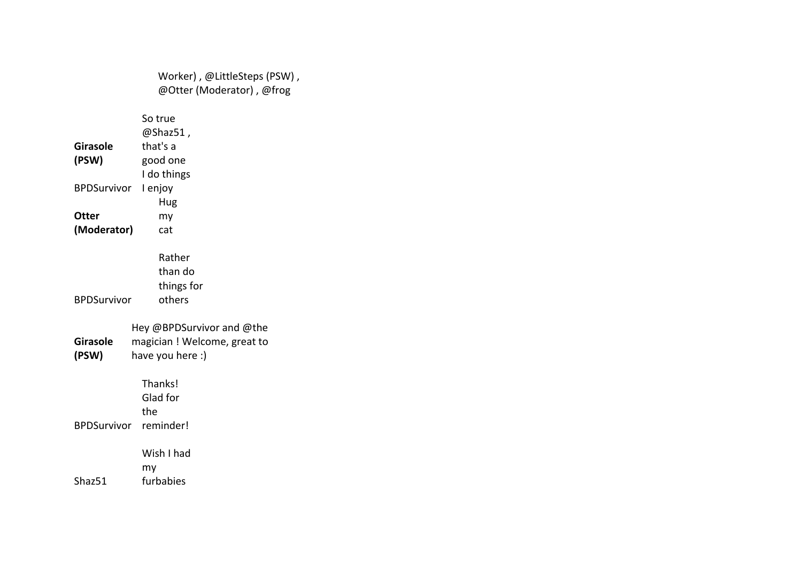Worker) , @LittleSteps (PSW) , @Otter (Moderator) , @frog **Girasole (PSW)** So true @Shaz51 , that's a good one BPDSurvivor I enjoy I do things **Otter (Moderator)** Hug my cat BPDSurvivor Rather than do things for others **Girasole (PSW)** Hey @BPDSurvivor and @the magician ! Welcome, great to have you here :) BPDSurvivor reminder! Thanks! Glad for the Shaz51 Wish I had my furbabies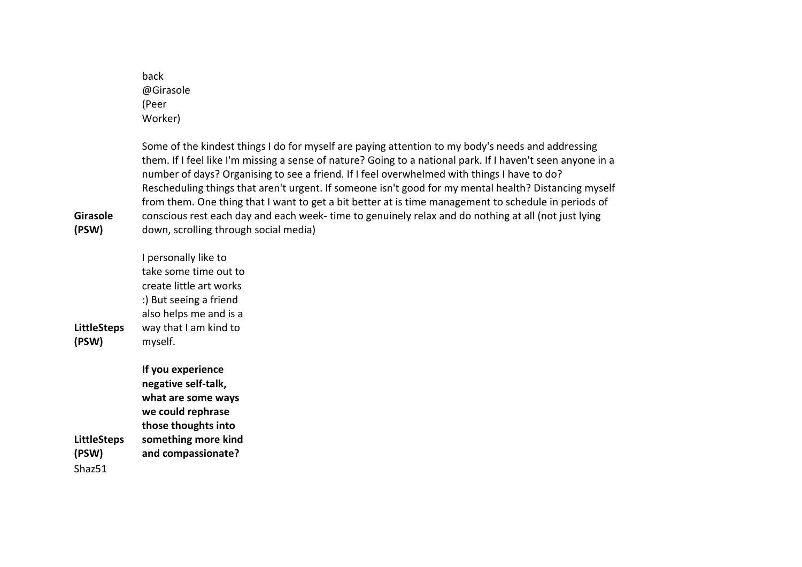back @Girasole (Peer Worker)

Some of the kindest things I do for myself are paying attention to my body's needs and addressing them. If I feel like I'm missing a sense of nature? Going to a national park. If I haven't seen anyone in a number of days? Organising to see a friend. If I feel overwhelmed with things I have to do? Rescheduling things that aren't urgent. If someone isn't good for my mental health? Distancing myself from them. One thing that I want to get a bit better at is time management to schedule in periods of conscious rest each day and each week- time to genuinely relax and do nothing at all (not just lying down, scrolling through social media)

**LittleSteps (PSW)** I personally like to take some time out to create little art works :) But seeing a friend also helps me and is a way that I am kind to myself.

**Girasole (PSW)**

**LittleSteps (PSW) If you experience negative self-talk, what are some ways we could rephrase those thoughts into something more kind and compassionate?**  Shaz51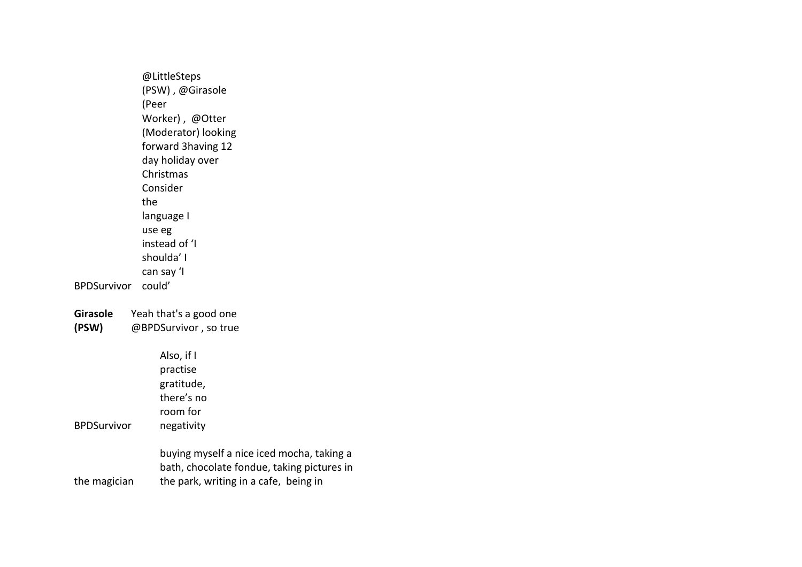@LittleSteps (PSW) , @Girasole (Peer Worker) , @Otter (Moderator) looking forward 3having 12 day holiday over Christmas BPDSurvivor could' Consider the language I use eg instead of 'I shoulda' I can say 'I **Girasole**  Yeah that's a good one

**(PSW)** @BPDSurvivor , so true

Also, if I

| <b>BPDSurvivor</b> | practise<br>gratitude,<br>there's no<br>room for<br>negativity                                                                   |
|--------------------|----------------------------------------------------------------------------------------------------------------------------------|
| the magician       | buying myself a nice iced mocha, taking a<br>bath, chocolate fondue, taking pictures in<br>the park, writing in a cafe, being in |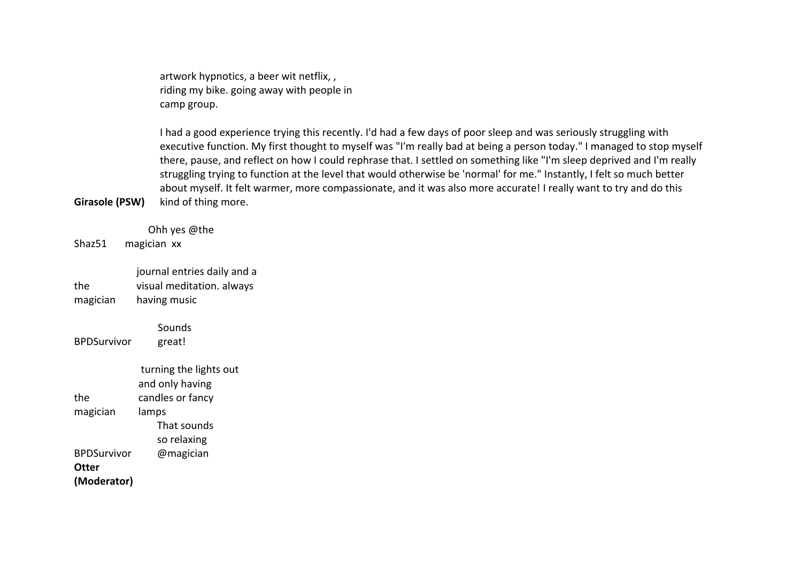artwork hypnotics, a beer wit netflix, , riding my bike. going away with people in camp group.

I had a good experience trying this recently. I'd had a few days of poor sleep and was seriously struggling with executive function. My first thought to myself was "I'm really bad at being a person today." I managed to stop myself there, pause, and reflect on how I could rephrase that. I settled on something like "I'm sleep deprived and I'm really struggling trying to function at the level that would otherwise be 'normal' for me." Instantly, I felt so much better about myself. It felt warmer, more compassionate, and it was also more accurate! I really want to try and do this kind of thing more.

Shaz51 Ohh yes @the magician xx

the magician journal entries daily and a visual meditation. always having music

BPDSurvivor **Sounds** great!

**Girasole (PSW)**

the magician turning the lights out and only having candles or fancy lamps BPDSurvivor That sounds so relaxing @magician **Otter (Moderator)**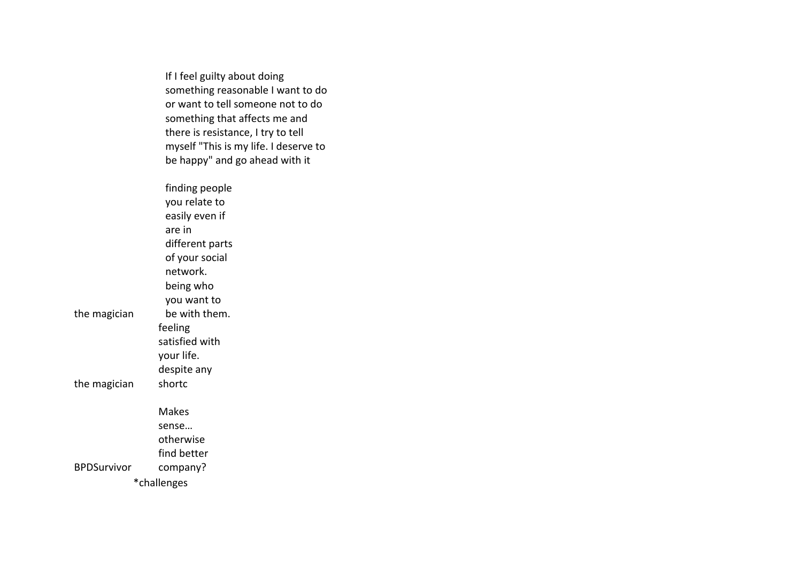If I feel guilty about doing something reasonable I want to do or want to tell someone not to do something that affects me and there is resistance, I try to tell myself "This is my life. I deserve to be happy" and go ahead with it

the magician finding people you relate to easily even if are in different parts of your social network. being who you want to be with them. the magician feeling satisfied with your life. despite any shortc BPDSurvivor Makes sense… otherwise find better company? \*challenges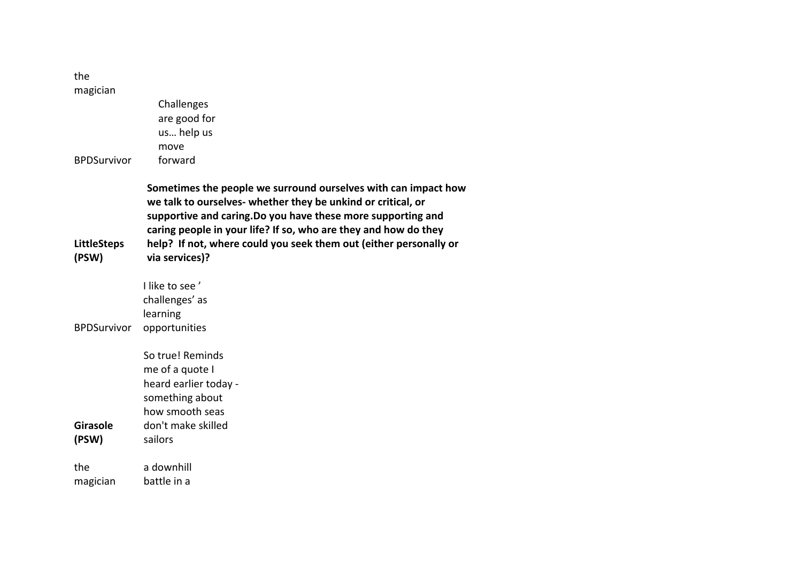the magician

| <b>BPDSurvivor</b>          | Challenges<br>are good for<br>us help us<br>move<br>forward                                                                                                                                                                                                                                                                                              |
|-----------------------------|----------------------------------------------------------------------------------------------------------------------------------------------------------------------------------------------------------------------------------------------------------------------------------------------------------------------------------------------------------|
| <b>LittleSteps</b><br>(PSW) | Sometimes the people we surround ourselves with can impact how<br>we talk to ourselves- whether they be unkind or critical, or<br>supportive and caring. Do you have these more supporting and<br>caring people in your life? If so, who are they and how do they<br>help? If not, where could you seek them out (either personally or<br>via services)? |
| <b>BPDSurvivor</b>          | I like to see'<br>challenges' as<br>learning<br>opportunities                                                                                                                                                                                                                                                                                            |
| <b>Girasole</b><br>(PSW)    | So true! Reminds<br>me of a quote I<br>heard earlier today -<br>something about<br>how smooth seas<br>don't make skilled<br>sailors                                                                                                                                                                                                                      |
| the<br>magician             | a downhill<br>battle in a                                                                                                                                                                                                                                                                                                                                |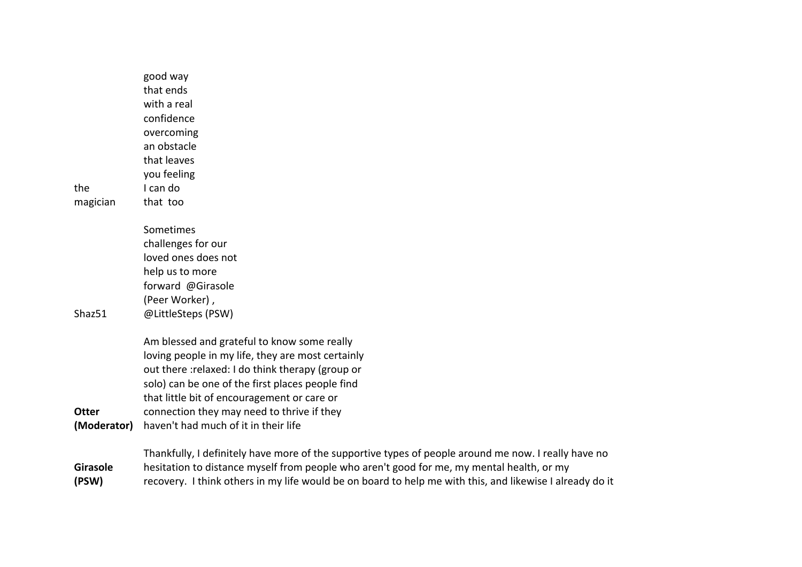| the<br>magician | good way<br>that ends<br>with a real<br>confidence<br>overcoming<br>an obstacle<br>that leaves<br>you feeling<br>I can do<br>that too                                                                                                                                                                  |
|-----------------|--------------------------------------------------------------------------------------------------------------------------------------------------------------------------------------------------------------------------------------------------------------------------------------------------------|
|                 | Sometimes<br>challenges for our                                                                                                                                                                                                                                                                        |
|                 | loved ones does not<br>help us to more                                                                                                                                                                                                                                                                 |
|                 | forward @Girasole                                                                                                                                                                                                                                                                                      |
| Shaz51          | (Peer Worker),<br>@LittleSteps (PSW)                                                                                                                                                                                                                                                                   |
|                 |                                                                                                                                                                                                                                                                                                        |
| Otter           | Am blessed and grateful to know some really<br>loving people in my life, they are most certainly<br>out there : relaxed: I do think therapy (group or<br>solo) can be one of the first places people find<br>that little bit of encouragement or care or<br>connection they may need to thrive if they |
| (Moderator)     | haven't had much of it in their life                                                                                                                                                                                                                                                                   |

**Girasole (PSW)** Thankfully, I definitely have more of the supportive types of people around me now. I really have no hesitation to distance myself from people who aren't good for me, my mental health, or my recovery. I think others in my life would be on board to help me with this, and likewise I already do it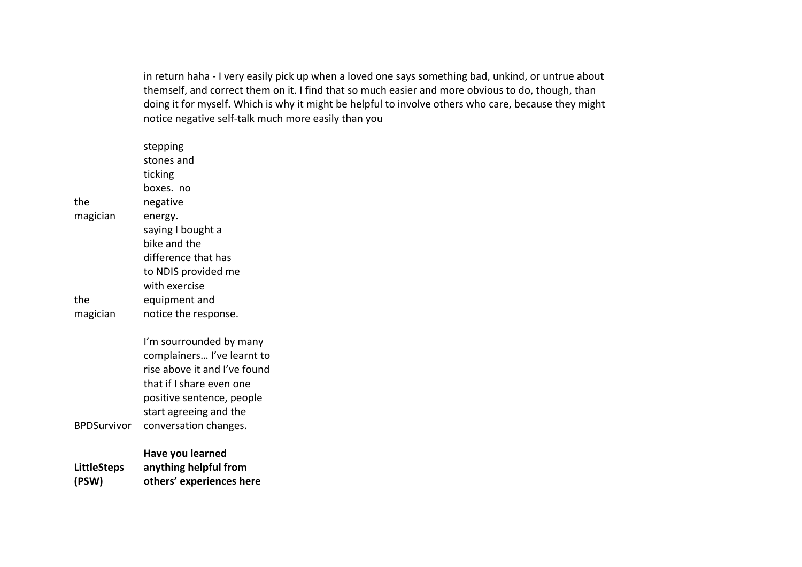in return haha - I very easily pick up when a loved one says something bad, unkind, or untrue about themself, and correct them on it. I find that so much easier and more obvious to do, though, than doing it for myself. Which is why it might be helpful to involve others who care, because they might notice negative self-talk much more easily than you

| <b>LittleSteps</b><br>(PSW) | Have you learned<br>anything helpful from<br>others' experiences here                                                                                                                             |
|-----------------------------|---------------------------------------------------------------------------------------------------------------------------------------------------------------------------------------------------|
| <b>BPDSurvivor</b>          | I'm sourrounded by many<br>complainers I've learnt to<br>rise above it and I've found<br>that if I share even one<br>positive sentence, people<br>start agreeing and the<br>conversation changes. |
| the<br>magician             | equipment and<br>notice the response.                                                                                                                                                             |
| magician                    | energy.<br>saying I bought a<br>bike and the<br>difference that has<br>to NDIS provided me<br>with exercise                                                                                       |
| the                         | stepping<br>stones and<br>ticking<br>boxes, no<br>negative                                                                                                                                        |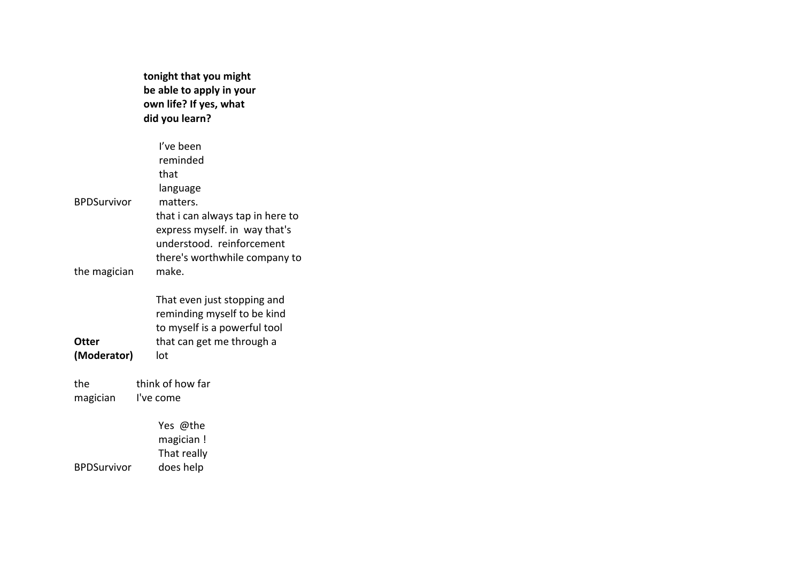**tonight that you might be able to apply in your own life? If yes, what did you learn?** 

|                    | I've been                        |
|--------------------|----------------------------------|
|                    | reminded                         |
|                    | that                             |
|                    | language                         |
| <b>BPDSurvivor</b> | matters.                         |
|                    | that i can always tap in here to |
|                    | express myself. in way that's    |
|                    | understood. reinforcement        |
|                    | there's worthwhile company to    |
| the magician       | make.                            |
|                    | That even just stopping and      |
|                    | reminding myself to be kind      |
|                    | to myself is a powerful tool     |
| Otter              | that can get me through a        |
| (Moderator)        | lot                              |
|                    |                                  |
| the                | think of how far                 |
| magician           | I've come                        |
|                    | Yes @the                         |
|                    | magician!                        |
|                    | That really                      |
| <b>BPDSurvivor</b> | does help                        |
|                    |                                  |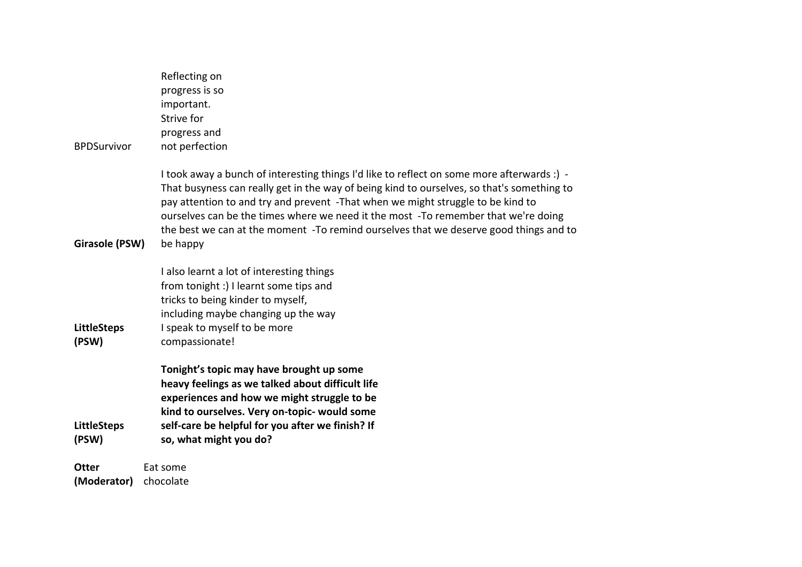| Reflecting on<br>progress is so<br>important.<br>Strive for<br>progress and                                                                                                                                                                                                                                                                                                                                                                                            |  |  |  |
|------------------------------------------------------------------------------------------------------------------------------------------------------------------------------------------------------------------------------------------------------------------------------------------------------------------------------------------------------------------------------------------------------------------------------------------------------------------------|--|--|--|
| not perfection                                                                                                                                                                                                                                                                                                                                                                                                                                                         |  |  |  |
| I took away a bunch of interesting things I'd like to reflect on some more afterwards :) -<br>That busyness can really get in the way of being kind to ourselves, so that's something to<br>pay attention to and try and prevent -That when we might struggle to be kind to<br>ourselves can be the times where we need it the most -To remember that we're doing<br>the best we can at the moment -To remind ourselves that we deserve good things and to<br>be happy |  |  |  |
|                                                                                                                                                                                                                                                                                                                                                                                                                                                                        |  |  |  |
| I also learnt a lot of interesting things<br>from tonight :) I learnt some tips and                                                                                                                                                                                                                                                                                                                                                                                    |  |  |  |
| tricks to being kinder to myself,                                                                                                                                                                                                                                                                                                                                                                                                                                      |  |  |  |
| including maybe changing up the way                                                                                                                                                                                                                                                                                                                                                                                                                                    |  |  |  |
| I speak to myself to be more<br>compassionate!                                                                                                                                                                                                                                                                                                                                                                                                                         |  |  |  |
| Tonight's topic may have brought up some<br>heavy feelings as we talked about difficult life<br>experiences and how we might struggle to be<br>kind to ourselves. Very on-topic- would some<br>self-care be helpful for you after we finish? If<br>so, what might you do?                                                                                                                                                                                              |  |  |  |
| <b>Otter</b><br>Eat some                                                                                                                                                                                                                                                                                                                                                                                                                                               |  |  |  |
|                                                                                                                                                                                                                                                                                                                                                                                                                                                                        |  |  |  |

**(Moderator)** chocolate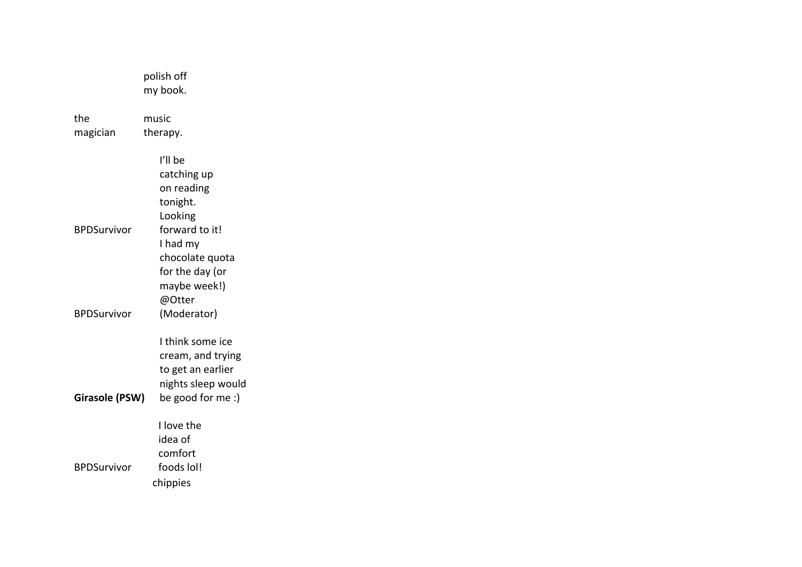|                       | polish off<br>my book.                                                                                |
|-----------------------|-------------------------------------------------------------------------------------------------------|
| the<br>magician       | music<br>therapy.                                                                                     |
|                       | I'll be<br>catching up<br>on reading                                                                  |
| <b>BPDSurvivor</b>    | tonight.<br>Looking<br>forward to it!<br>I had my<br>chocolate quota<br>for the day (or               |
| <b>BPDSurvivor</b>    | maybe week!)<br>@Otter<br>(Moderator)                                                                 |
| <b>Girasole (PSW)</b> | I think some ice<br>cream, and trying<br>to get an earlier<br>nights sleep would<br>be good for me :) |
| <b>BPDSurvivor</b>    | I love the<br>idea of<br>comfort<br>foods lol!                                                        |
|                       | chippies                                                                                              |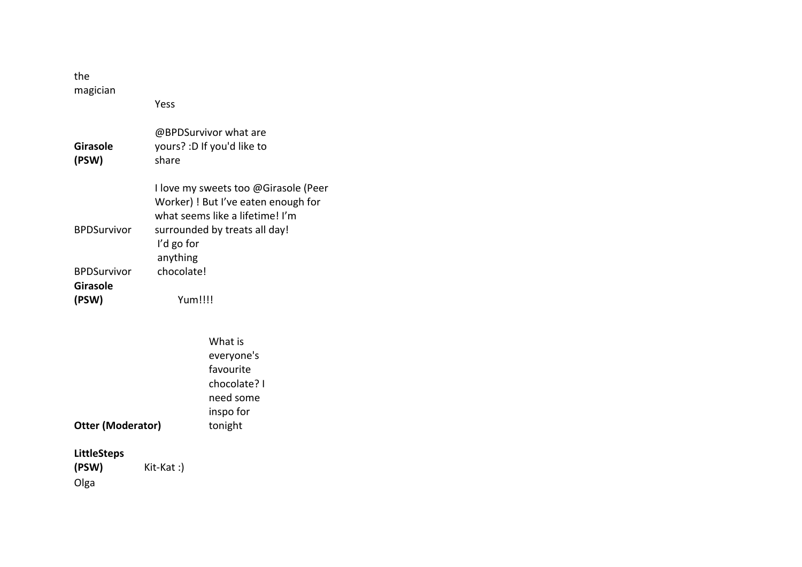| the<br>magician             |                          |                                                                                                                |
|-----------------------------|--------------------------|----------------------------------------------------------------------------------------------------------------|
|                             | Yess                     |                                                                                                                |
| Girasole<br>(PSW)           | share                    | @BPDSurvivor what are<br>yours? : D If you'd like to                                                           |
|                             |                          | I love my sweets too @Girasole (Peer<br>Worker) ! But I've eaten enough for<br>what seems like a lifetime! I'm |
| <b>BPDSurvivor</b>          | I'd go for<br>anything   | surrounded by treats all day!                                                                                  |
| <b>BPDSurvivor</b>          | chocolate!               |                                                                                                                |
| <b>Girasole</b>             |                          |                                                                                                                |
| (PSW)                       | Yum!!!!                  |                                                                                                                |
|                             |                          |                                                                                                                |
|                             |                          | What is                                                                                                        |
|                             |                          | everyone's                                                                                                     |
|                             |                          | favourite                                                                                                      |
|                             |                          | chocolate? I                                                                                                   |
|                             |                          | need some<br>inspo for                                                                                         |
| <b>Otter (Moderator)</b>    |                          | tonight                                                                                                        |
|                             |                          |                                                                                                                |
| <b>LittleSteps</b><br>(PSW) | $K$ it- $K$ at $\cdot$ ) |                                                                                                                |

**(PSW)** Kit-Kat :) Olga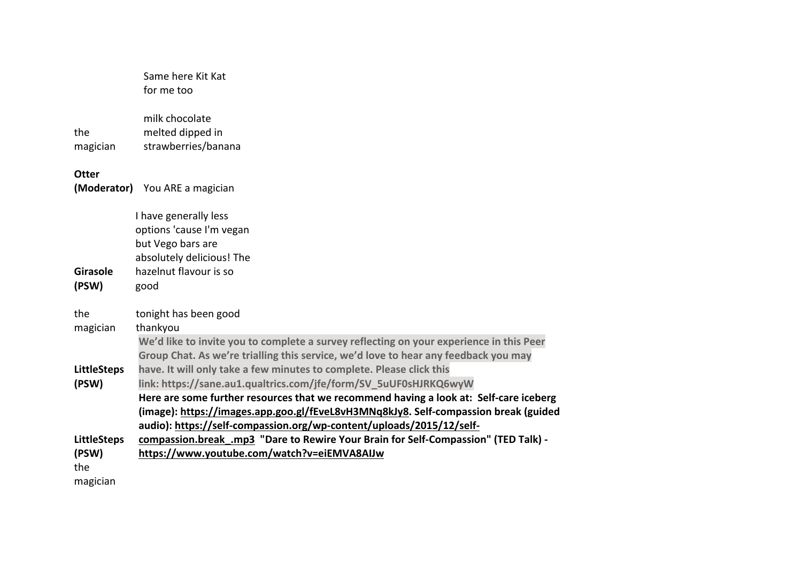|                                                | Same here Kit Kat<br>for me too                                                                                                                                                                                                                                                                                                                                                                  |
|------------------------------------------------|--------------------------------------------------------------------------------------------------------------------------------------------------------------------------------------------------------------------------------------------------------------------------------------------------------------------------------------------------------------------------------------------------|
| the<br>magician                                | milk chocolate<br>melted dipped in<br>strawberries/banana                                                                                                                                                                                                                                                                                                                                        |
| <b>Otter</b>                                   | (Moderator) You ARE a magician                                                                                                                                                                                                                                                                                                                                                                   |
|                                                | I have generally less<br>options 'cause I'm vegan<br>but Vego bars are<br>absolutely delicious! The                                                                                                                                                                                                                                                                                              |
| <b>Girasole</b><br>(PSW)                       | hazelnut flavour is so<br>good                                                                                                                                                                                                                                                                                                                                                                   |
| the<br>magician                                | tonight has been good<br>thankyou<br>We'd like to invite you to complete a survey reflecting on your experience in this Peer<br>Group Chat. As we're trialling this service, we'd love to hear any feedback you may                                                                                                                                                                              |
| <b>LittleSteps</b><br>(PSW)                    | have. It will only take a few minutes to complete. Please click this<br>link: https://sane.au1.qualtrics.com/jfe/form/SV_5uUF0sHJRKQ6wyW<br>Here are some further resources that we recommend having a look at: Self-care iceberg<br>(image): https://images.app.goo.gl/fEveL8vH3MNq8kJy8. Self-compassion break (guided<br>audio): https://self-compassion.org/wp-content/uploads/2015/12/self- |
| <b>LittleSteps</b><br>(PSW)<br>the<br>magician | compassion.break.mp3 "Dare to Rewire Your Brain for Self-Compassion" (TED Talk) -<br>https://www.youtube.com/watch?v=eiEMVA8AIJw                                                                                                                                                                                                                                                                 |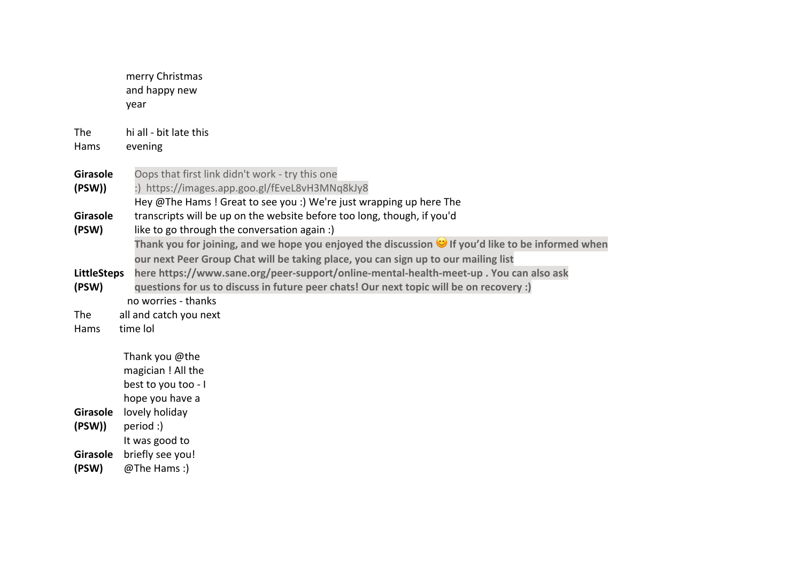merry Christmas and happy new year The Hams hi all - bit late this evening **Girasole (PSW))** Oops that first link didn't work - try this one :) https://images.app.goo.gl/fEveL8vH3MNq8kJy8 **Girasole (PSW)** Hey @The Hams ! Great to see you :) We're just wrapping up here The transcripts will be up on the website before too long, though, if you'd like to go through the conversation again :) **LittleSteps (PSW) Thank you for joining, and we hope you enjoyed the discussion If you'd like to be informed when our next Peer Group Chat will be taking place, you can sign up to our mailing list here https://www.sane.org/peer-support/online-mental-health-meet-up . You can also ask questions for us to discuss in future peer chats! Our next topic will be on recovery :)**  The Hams no worries - thanks all and catch you next time lol **Girasole**  lovely holiday **(PSW))** Thank you @the magician ! All the best to you too - I hope you have a period :) **Girasole**  briefly see you! **(PSW)** It was good to @The Hams :)